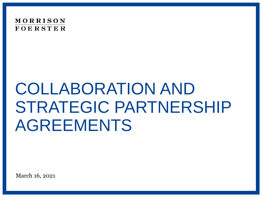

# COLLABORATION AND STRATEGIC PARTNERSHIP AGREEMENTS

March 16, 2021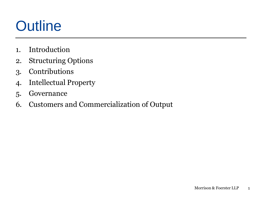### **Outline**

- 1. Introduction
- 2. Structuring Options
- 3. Contributions
- 4. Intellectual Property
- 5. Governance
- 6. Customers and Commercialization of Output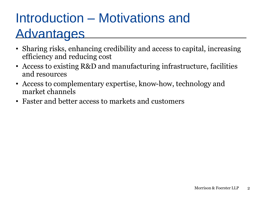### Introduction – Motivations and Advantages

- Sharing risks, enhancing credibility and access to capital, increasing efficiency and reducing cost
- Access to existing R&D and manufacturing infrastructure, facilities and resources
- Access to complementary expertise, know-how, technology and market channels
- Faster and better access to markets and customers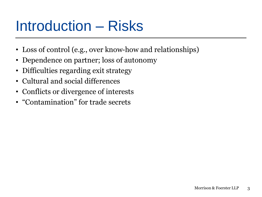### Introduction – Risks

- Loss of control (e.g., over know-how and relationships)
- Dependence on partner; loss of autonomy
- Difficulties regarding exit strategy
- Cultural and social differences
- Conflicts or divergence of interests
- "Contamination" for trade secrets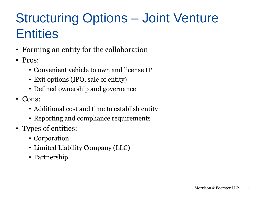### Structuring Options – Joint Venture **Entities**

- Forming an entity for the collaboration
- Pros:
	- Convenient vehicle to own and license IP
	- Exit options (IPO, sale of entity)
	- Defined ownership and governance
- Cons:
	- Additional cost and time to establish entity
	- Reporting and compliance requirements
- Types of entities:
	- Corporation
	- Limited Liability Company (LLC)
	- Partnership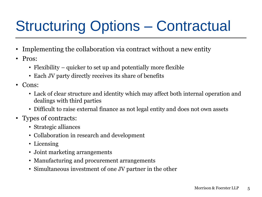## Structuring Options – Contractual

- Implementing the collaboration via contract without a new entity
- Pros:
	- Flexibility quicker to set up and potentially more flexible
	- Each JV party directly receives its share of benefits
- Cons:
	- Lack of clear structure and identity which may affect both internal operation and dealings with third parties
	- Difficult to raise external finance as not legal entity and does not own assets
- Types of contracts:
	- Strategic alliances
	- Collaboration in research and development
	- Licensing
	- Joint marketing arrangements
	- Manufacturing and procurement arrangements
	- Simultaneous investment of one JV partner in the other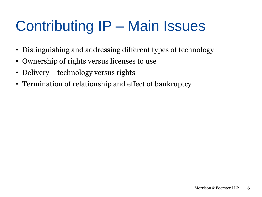### Contributing IP – Main Issues

- Distinguishing and addressing different types of technology
- Ownership of rights versus licenses to use
- Delivery technology versus rights
- Termination of relationship and effect of bankruptcy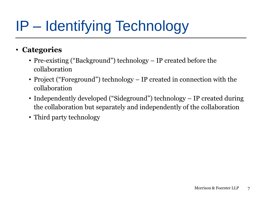## IP – Identifying Technology

#### • **Categories**

- Pre-existing ("Background") technology IP created before the collaboration
- Project ("Foreground") technology IP created in connection with the collaboration
- Independently developed ("Sideground") technology IP created during the collaboration but separately and independently of the collaboration
- Third party technology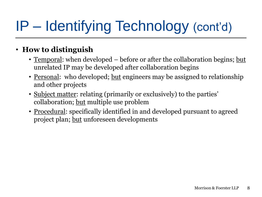### IP – Identifying Technology (cont'd)

#### • **How to distinguish**

- <u>Temporal</u>: when developed before or after the collaboration begins; <u>but</u> unrelated IP may be developed after collaboration begins
- <u>Personal</u>: who developed; <u>but</u> engineers may be assigned to relationship and other projects
- Subject matter: relating (primarily or exclusively) to the parties' collaboration; but multiple use problem
- <u>Procedural</u>: specifically identified in and developed pursuant to agreed project plan; but unforeseen developments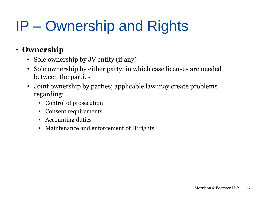### IP – Ownership and Rights

#### • **Ownership**

- Sole ownership by JV entity (if any)
- Sole ownership by either party; in which case licenses are needed between the parties
- Joint ownership by parties; applicable law may create problems regarding:
	- Control of prosecution
	- Consent requirements
	- Accounting duties
	- Maintenance and enforcement of IP rights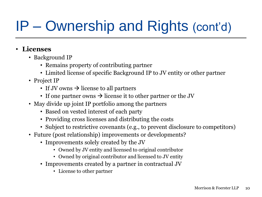### IP – Ownership and Rights (cont'd)

#### • **Licenses**

- Background IP
	- Remains property of contributing partner
	- Limited license of specific Background IP to JV entity or other partner
- Project IP
	- If JV owns  $\rightarrow$  license to all partners
	- If one partner owns  $\rightarrow$  license it to other partner or the JV
- May divide up joint IP portfolio among the partners
	- Based on vested interest of each party
	- Providing cross licenses and distributing the costs
	- Subject to restrictive covenants (e.g., to prevent disclosure to competitors)
- Future (post relationship) improvements or developments?
	- Improvements solely created by the JV
		- Owned by JV entity and licensed to original contributor
		- Owned by original contributor and licensed to JV entity
	- Improvements created by a partner in contractual JV
		- License to other partner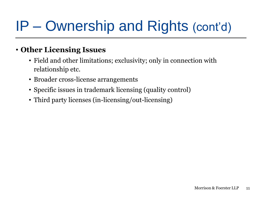### IP – Ownership and Rights (cont'd)

#### • **Other Licensing Issues**

- Field and other limitations; exclusivity; only in connection with relationship etc.
- Broader cross-license arrangements
- Specific issues in trademark licensing (quality control)
- Third party licenses (in-licensing/out-licensing)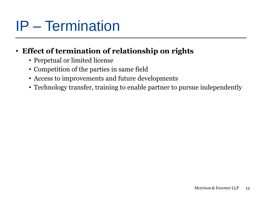### IP – Termination

#### • **Effect of termination of relationship on rights**

- Perpetual or limited license
- Competition of the parties in same field
- Access to improvements and future developments
- Technology transfer, training to enable partner to pursue independently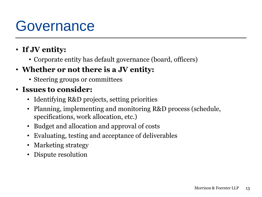### **Governance**

### • **If JV entity:**

• Corporate entity has default governance (board, officers)

### • **Whether or not there is a JV entity:**

• Steering groups or committees

#### • **Issues to consider:**

- Identifying R&D projects, setting priorities
- Planning, implementing and monitoring R&D process (schedule, specifications, work allocation, etc.)
- Budget and allocation and approval of costs
- Evaluating, testing and acceptance of deliverables
- Marketing strategy
- Dispute resolution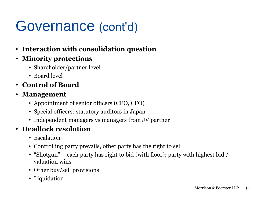### Governance (cont'd)

- **Interaction with consolidation question**
- **Minority protections**
	- Shareholder/partner level
	- Board level
- **Control of Board**
- **Management**
	- Appointment of senior officers (CEO, CFO)
	- Special officers: statutory auditors in Japan
	- Independent managers vs managers from JV partner

#### • **Deadlock resolution**

- Escalation
- Controlling party prevails, other party has the right to sell
- "Shotgun" each party has right to bid (with floor); party with highest bid / valuation wins
- Other buy/sell provisions
- Liquidation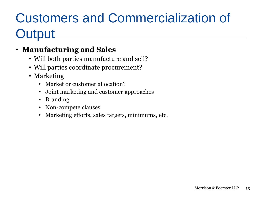### Customers and Commercialization of utput

### • **Manufacturing and Sales**

- Will both parties manufacture and sell?
- Will parties coordinate procurement?
- Marketing
	- Market or customer allocation?
	- Joint marketing and customer approaches
	- Branding
	- Non-compete clauses
	- Marketing efforts, sales targets, minimums, etc.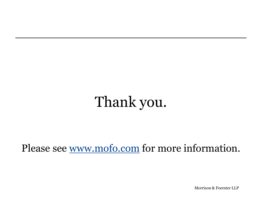### Thank you.

### Please see [www.mofo.com](http://www.mofo.com/) for more information.

Morrison & Foerster LLP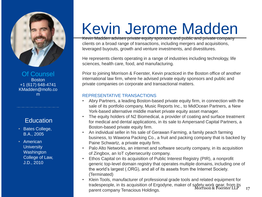

Of Counsel **Boston** +1 (617) 648-4741 KMadden@mofo.co m

#### **Education**

• Bates College, B.A., 2005

• American **University Washington** College of Law, J.D., 2010

# Kevin Jerome Madden

Kevin Madden advises private equity sponsors and public and private company clients on a broad range of transactions, including mergers and acquisitions, leveraged buyouts, growth and venture investments, and divestitures.

He represents clients operating in a range of industries including technology, life sciences, health care, food, and manufacturing.

Prior to joining Morrison & Foerster, Kevin practiced in the Boston office of another international law firm, where he advised private equity sponsors and public and private companies on corporate and transactional matters.

#### REPRESENTATIVE TRANSACTIONS

- Abry Partners, a leading Boston-based private equity firm, in connection with the sale of its portfolio company, Music Reports Inc., to MidOcean Partners, a New York-based alternative middle market private equity asset manager.
- The equity holders of N2 Biomedical, a provider of coating and surface treatment for medical and dental applications, in its sale to Ampersand Capital Partners, a Boston-based private equity firm.
- An individual seller in his sale of Gerawan Farming, a family peach farming business, to Wawona Packing Co., a fruit and packing company that is backed by Paine Schwartz, a private equity firm.
- Palo Alto Networks, an internet and software security company, in its acquisition of Zingbox, an IoT cybersecurity company.
- Ethos Capital on its acquisition of Public Interest Registry (PIR), a nonprofit generic top-level domain registry that operates multiple domains, including one of the world's largest (.ORG), and all of its assets from the Internet Society. (Terminated)
- Morrison & Foerster LLP 17 • Klein Tools, manufacturer of professional grade tools and related equipment for tradespeople, in its acquisition of Ergodyne, maker of safety work gear, from its parent company Tenacious Holdings.